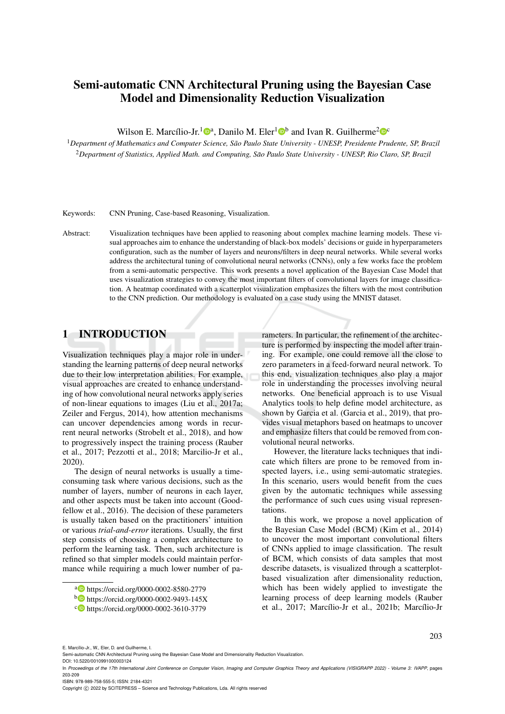# Semi-automatic CNN Architectural Pruning using the Bayesian Case Model and Dimensionality Reduction Visualization

Wilson E. Marcílio-Jr.<sup>1</sup> $\mathbb{D}^a$ , Danilo M. Eler<sup>1</sup> $\mathbb{D}^b$  and Ivan R. Guilherme<sup>2</sup> $\mathbb{D}^c$ 

<sup>1</sup>*Department of Mathematics and Computer Science, Sao Paulo State University - UNESP, Presidente Prudente, SP, Brazil ˜* <sup>2</sup>*Department of Statistics, Applied Math. and Computing, Sao Paulo State University - UNESP, Rio Claro, SP, Brazil ˜*

Keywords: CNN Pruning, Case-based Reasoning, Visualization.

Abstract: Visualization techniques have been applied to reasoning about complex machine learning models. These visual approaches aim to enhance the understanding of black-box models' decisions or guide in hyperparameters configuration, such as the number of layers and neurons/filters in deep neural networks. While several works address the architectural tuning of convolutional neural networks (CNNs), only a few works face the problem from a semi-automatic perspective. This work presents a novel application of the Bayesian Case Model that uses visualization strategies to convey the most important filters of convolutional layers for image classification. A heatmap coordinated with a scatterplot visualization emphasizes the filters with the most contribution to the CNN prediction. Our methodology is evaluated on a case study using the MNIST dataset.

# 1 INTRODUCTION

Visualization techniques play a major role in understanding the learning patterns of deep neural networks due to their low interpretation abilities. For example, visual approaches are created to enhance understanding of how convolutional neural networks apply series of non-linear equations to images (Liu et al., 2017a; Zeiler and Fergus, 2014), how attention mechanisms can uncover dependencies among words in recurrent neural networks (Strobelt et al., 2018), and how to progressively inspect the training process (Rauber et al., 2017; Pezzotti et al., 2018; Marcilio-Jr et al., 2020).

The design of neural networks is usually a timeconsuming task where various decisions, such as the number of layers, number of neurons in each layer, and other aspects must be taken into account (Goodfellow et al., 2016). The decision of these parameters is usually taken based on the practitioners' intuition or various *trial-and-error* iterations. Usually, the first step consists of choosing a complex architecture to perform the learning task. Then, such architecture is refined so that simpler models could maintain performance while requiring a much lower number of parameters. In particular, the refinement of the architecture is performed by inspecting the model after training. For example, one could remove all the close to zero parameters in a feed-forward neural network. To this end, visualization techniques also play a major role in understanding the processes involving neural networks. One beneficial approach is to use Visual Analytics tools to help define model architecture, as shown by Garcia et al. (Garcia et al., 2019), that provides visual metaphors based on heatmaps to uncover and emphasize filters that could be removed from convolutional neural networks.

However, the literature lacks techniques that indicate which filters are prone to be removed from inspected layers, i.e., using semi-automatic strategies. In this scenario, users would benefit from the cues given by the automatic techniques while assessing the performance of such cues using visual representations.

In this work, we propose a novel application of the Bayesian Case Model (BCM) (Kim et al., 2014) to uncover the most important convolutional filters of CNNs applied to image classification. The result of BCM, which consists of data samples that most describe datasets, is visualized through a scatterplotbased visualization after dimensionality reduction, which has been widely applied to investigate the learning process of deep learning models (Rauber et al., 2017; Marcílio-Jr et al., 2021b; Marcílio-Jr

203

ISBN: 978-989-758-555-5; ISSN: 2184-4321

Copyright (C) 2022 by SCITEPRESS - Science and Technology Publications, Lda. All rights reserved

<sup>a</sup> https://orcid.org/0000-0002-8580-2779

<sup>b</sup> https://orcid.org/0000-0002-9493-145X

<sup>c</sup> https://orcid.org/0000-0002-3610-3779

E. Marcílio-Jr., W., Eler, D. and Guilherme, I.

Semi-automatic CNN Architectural Pruning using the Bayesian Case Model and Dimensionality Reduction Visualization.

DOI: 10.5220/0010991000003124

In *Proceedings of the 17th International Joint Conference on Computer Vision, Imaging and Computer Graphics Theory and Applications (VISIGRAPP 2022) - Volume 3: IVAPP*, pages 203-209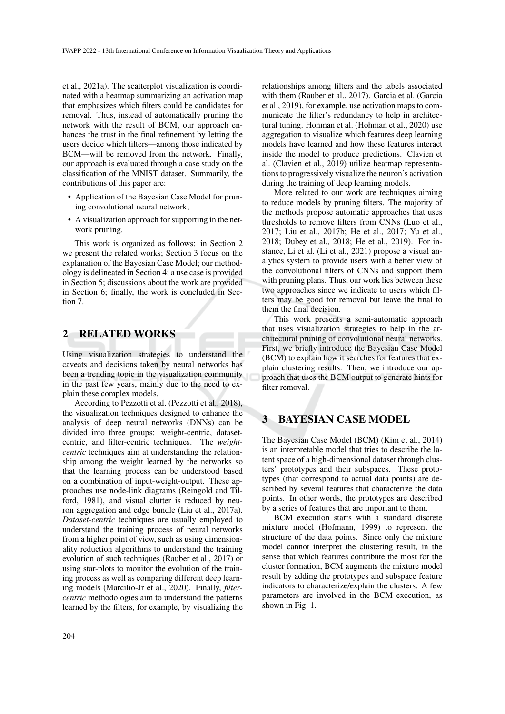et al., 2021a). The scatterplot visualization is coordinated with a heatmap summarizing an activation map that emphasizes which filters could be candidates for removal. Thus, instead of automatically pruning the network with the result of BCM, our approach enhances the trust in the final refinement by letting the users decide which filters—among those indicated by BCM—will be removed from the network. Finally, our approach is evaluated through a case study on the classification of the MNIST dataset. Summarily, the contributions of this paper are:

- Application of the Bayesian Case Model for pruning convolutional neural network;
- A visualization approach for supporting in the network pruning.

This work is organized as follows: in Section 2 we present the related works; Section 3 focus on the explanation of the Bayesian Case Model; our methodology is delineated in Section 4; a use case is provided in Section 5; discussions about the work are provided in Section 6; finally, the work is concluded in Section 7.

#### 2 RELATED WORKS

Using visualization strategies to understand the caveats and decisions taken by neural networks has been a trending topic in the visualization community in the past few years, mainly due to the need to explain these complex models.

According to Pezzotti et al. (Pezzotti et al., 2018), the visualization techniques designed to enhance the analysis of deep neural networks (DNNs) can be divided into three groups: weight-centric, datasetcentric, and filter-centric techniques. The *weightcentric* techniques aim at understanding the relationship among the weight learned by the networks so that the learning process can be understood based on a combination of input-weight-output. These approaches use node-link diagrams (Reingold and Tilford, 1981), and visual clutter is reduced by neuron aggregation and edge bundle (Liu et al., 2017a). *Dataset-centric* techniques are usually employed to understand the training process of neural networks from a higher point of view, such as using dimensionality reduction algorithms to understand the training evolution of such techniques (Rauber et al., 2017) or using star-plots to monitor the evolution of the training process as well as comparing different deep learning models (Marcilio-Jr et al., 2020). Finally, *filtercentric* methodologies aim to understand the patterns learned by the filters, for example, by visualizing the relationships among filters and the labels associated with them (Rauber et al., 2017). Garcia et al. (Garcia et al., 2019), for example, use activation maps to communicate the filter's redundancy to help in architectural tuning. Hohman et al. (Hohman et al., 2020) use aggregation to visualize which features deep learning models have learned and how these features interact inside the model to produce predictions. Clavien et al. (Clavien et al., 2019) utilize heatmap representations to progressively visualize the neuron's activation during the training of deep learning models.

More related to our work are techniques aiming to reduce models by pruning filters. The majority of the methods propose automatic approaches that uses thresholds to remove filters from CNNs (Luo et al., 2017; Liu et al., 2017b; He et al., 2017; Yu et al., 2018; Dubey et al., 2018; He et al., 2019). For instance, Li et al. (Li et al., 2021) propose a visual analytics system to provide users with a better view of the convolutional filters of CNNs and support them with pruning plans. Thus, our work lies between these two approaches since we indicate to users which filters may be good for removal but leave the final to them the final decision.

This work presents a semi-automatic approach that uses visualization strategies to help in the architectural pruning of convolutional neural networks. First, we briefly introduce the Bayesian Case Model (BCM) to explain how it searches for features that explain clustering results. Then, we introduce our approach that uses the BCM output to generate hints for filter removal.

#### 3 BAYESIAN CASE MODEL

The Bayesian Case Model (BCM) (Kim et al., 2014) is an interpretable model that tries to describe the latent space of a high-dimensional dataset through clusters' prototypes and their subspaces. These prototypes (that correspond to actual data points) are described by several features that characterize the data points. In other words, the prototypes are described by a series of features that are important to them.

BCM execution starts with a standard discrete mixture model (Hofmann, 1999) to represent the structure of the data points. Since only the mixture model cannot interpret the clustering result, in the sense that which features contribute the most for the cluster formation, BCM augments the mixture model result by adding the prototypes and subspace feature indicators to characterize/explain the clusters. A few parameters are involved in the BCM execution, as shown in Fig. 1.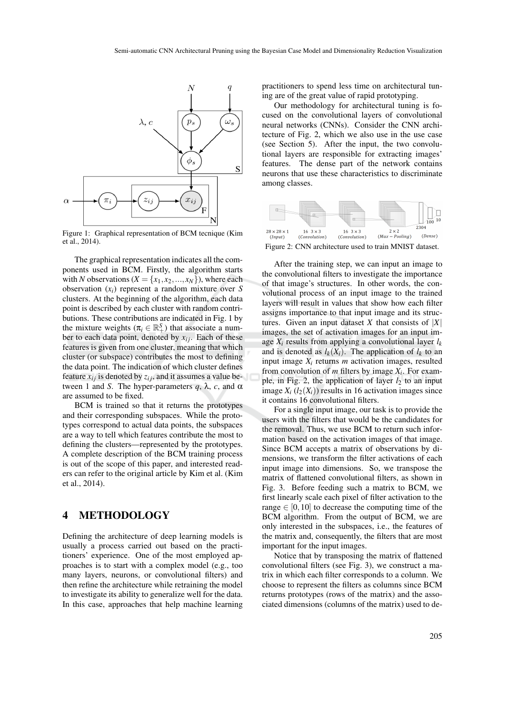

Figure 1: Graphical representation of BCM tecnique (Kim et al., 2014).

The graphical representation indicates all the components used in BCM. Firstly, the algorithm starts with *N* observations ( $X = \{x_1, x_2, ..., x_N\}$ ), where each observation (*xi*) represent a random mixture over *S* clusters. At the beginning of the algorithm, each data point is described by each cluster with random contributions. These contributions are indicated in Fig. 1 by the mixture weights ( $\pi_i \in \mathbb{R}^S_+$ ) that associate a number to each data point, denoted by  $x_{ij}$ . Each of these features is given from one cluster, meaning that which cluster (or subspace) contributes the most to defining the data point. The indication of which cluster defines feature  $x_{ij}$  is denoted by  $z_{ij}$ , and it assumes a value between 1 and *S*. The hyper-parameters *q*, λ, *c*, and α are assumed to be fixed.

BCM is trained so that it returns the prototypes and their corresponding subspaces. While the prototypes correspond to actual data points, the subspaces are a way to tell which features contribute the most to defining the clusters—represented by the prototypes. A complete description of the BCM training process is out of the scope of this paper, and interested readers can refer to the original article by Kim et al. (Kim et al., 2014).

### 4 METHODOLOGY

Defining the architecture of deep learning models is usually a process carried out based on the practitioners' experience. One of the most employed approaches is to start with a complex model (e.g., too many layers, neurons, or convolutional filters) and then refine the architecture while retraining the model to investigate its ability to generalize well for the data. In this case, approaches that help machine learning practitioners to spend less time on architectural tuning are of the great value of rapid prototyping.

Our methodology for architectural tuning is focused on the convolutional layers of convolutional neural networks (CNNs). Consider the CNN architecture of Fig. 2, which we also use in the use case (see Section 5). After the input, the two convolutional layers are responsible for extracting images' features. The dense part of the network contains neurons that use these characteristics to discriminate among classes.



Figure 2: CNN architecture used to train MNIST dataset.

After the training step, we can input an image to the convolutional filters to investigate the importance of that image's structures. In other words, the convolutional process of an input image to the trained layers will result in values that show how each filter assigns importance to that input image and its structures. Given an input dataset *X* that consists of  $|X|$ images, the set of activation images for an input image  $X_i$  results from applying a convolutional layer  $l_k$ and is denoted as  $l_k(X_i)$ . The application of  $l_k$  to an input image  $X_i$  returns  $m$  activation images, resulted from convolution of  $m$  filters by image  $X_i$ . For example, in Fig. 2, the application of layer  $l_2$  to an input image  $X_i$  ( $l_2(X_i)$ ) results in 16 activation images since it contains 16 convolutional filters.

For a single input image, our task is to provide the users with the filters that would be the candidates for the removal. Thus, we use BCM to return such information based on the activation images of that image. Since BCM accepts a matrix of observations by dimensions, we transform the filter activations of each input image into dimensions. So, we transpose the matrix of flattened convolutional filters, as shown in Fig. 3. Before feeding such a matrix to BCM, we first linearly scale each pixel of filter activation to the range  $\in [0, 10]$  to decrease the computing time of the BCM algorithm. From the output of BCM, we are only interested in the subspaces, i.e., the features of the matrix and, consequently, the filters that are most important for the input images.

Notice that by transposing the matrix of flattened convolutional filters (see Fig. 3), we construct a matrix in which each filter corresponds to a column. We choose to represent the filters as columns since BCM returns prototypes (rows of the matrix) and the associated dimensions (columns of the matrix) used to de-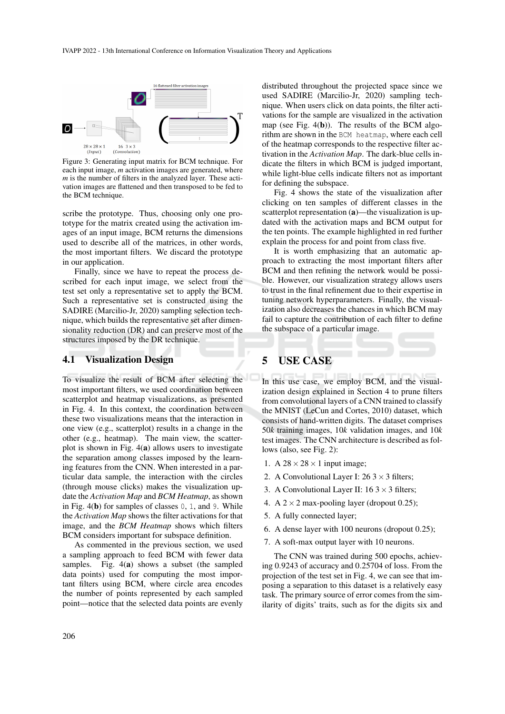

Figure 3: Generating input matrix for BCM technique. For each input image, *m* activation images are generated, where *m* is the number of filters in the analyzed layer. These activation images are flattened and then transposed to be fed to the BCM technique.

scribe the prototype. Thus, choosing only one prototype for the matrix created using the activation images of an input image, BCM returns the dimensions used to describe all of the matrices, in other words, the most important filters. We discard the prototype in our application.

Finally, since we have to repeat the process described for each input image, we select from the test set only a representative set to apply the BCM. Such a representative set is constructed using the SADIRE (Marcilio-Jr, 2020) sampling selection technique, which builds the representative set after dimensionality reduction (DR) and can preserve most of the structures imposed by the DR technique.

#### 4.1 Visualization Design

To visualize the result of BCM after selecting the most important filters, we used coordination between scatterplot and heatmap visualizations, as presented in Fig. 4. In this context, the coordination between these two visualizations means that the interaction in one view (e.g., scatterplot) results in a change in the other (e.g., heatmap). The main view, the scatterplot is shown in Fig. 4(a) allows users to investigate the separation among classes imposed by the learning features from the CNN. When interested in a particular data sample, the interaction with the circles (through mouse clicks) makes the visualization update the *Activation Map* and *BCM Heatmap*, as shown in Fig.  $4(b)$  for samples of classes 0, 1, and 9. While the *Activation Map* shows the filter activations for that image, and the *BCM Heatmap* shows which filters BCM considers important for subspace definition.

As commented in the previous section, we used a sampling approach to feed BCM with fewer data samples. Fig. 4(a) shows a subset (the sampled data points) used for computing the most important filters using BCM, where circle area encodes the number of points represented by each sampled point—notice that the selected data points are evenly

distributed throughout the projected space since we used SADIRE (Marcilio-Jr, 2020) sampling technique. When users click on data points, the filter activations for the sample are visualized in the activation map (see Fig.  $4(b)$ ). The results of the BCM algorithm are shown in the BCM heatmap, where each cell of the heatmap corresponds to the respective filter activation in the *Activation Map*. The dark-blue cells indicate the filters in which BCM is judged important, while light-blue cells indicate filters not as important for defining the subspace.

Fig. 4 shows the state of the visualization after clicking on ten samples of different classes in the scatterplot representation (a)—the visualization is updated with the activation maps and BCM output for the ten points. The example highlighted in red further explain the process for and point from class five.

It is worth emphasizing that an automatic approach to extracting the most important filters after BCM and then refining the network would be possible. However, our visualization strategy allows users to trust in the final refinement due to their expertise in tuning network hyperparameters. Finally, the visualization also decreases the chances in which BCM may fail to capture the contribution of each filter to define the subspace of a particular image.

## 5 USE CASE

In this use case, we employ BCM, and the visualization design explained in Section 4 to prune filters from convolutional layers of a CNN trained to classify the MNIST (LeCun and Cortes, 2010) dataset, which consists of hand-written digits. The dataset comprises 50*k* training images, 10*k* validation images, and 10*k* test images. The CNN architecture is described as follows (also, see Fig. 2):

- 1. A  $28 \times 28 \times 1$  input image;
- 2. A Convolutional Layer I:  $26.3 \times 3$  filters;
- 3. A Convolutional Layer II:  $163 \times 3$  filters;
- 4. A  $2 \times 2$  max-pooling layer (dropout 0.25);
- 5. A fully connected layer;
- 6. A dense layer with 100 neurons (dropout 0.25);
- 7. A soft-max output layer with 10 neurons.

The CNN was trained during 500 epochs, achieving 0.9243 of accuracy and 0.25704 of loss. From the projection of the test set in Fig. 4, we can see that imposing a separation to this dataset is a relatively easy task. The primary source of error comes from the similarity of digits' traits, such as for the digits six and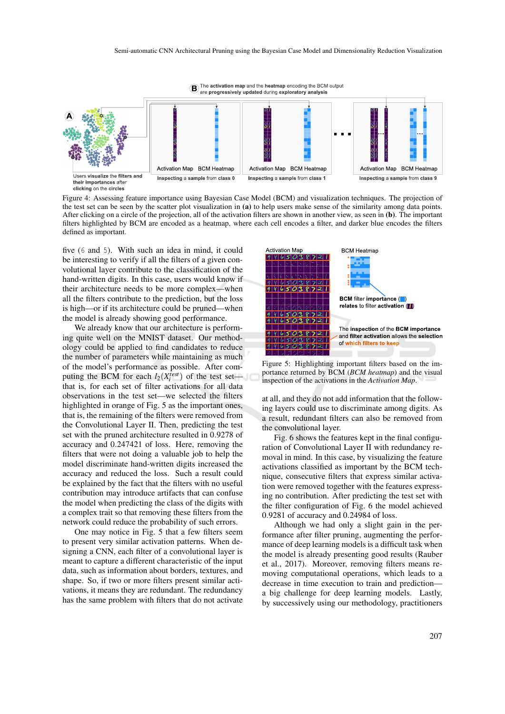

Figure 4: Assessing feature importance using Bayesian Case Model (BCM) and visualization techniques. The projection of the test set can be seen by the scatter plot visualization in (a) to help users make sense of the similarity among data points. After clicking on a circle of the projection, all of the activation filters are shown in another view, as seen in (b). The important filters highlighted by BCM are encoded as a heatmap, where each cell encodes a filter, and darker blue encodes the filters defined as important.

five (6 and 5). With such an idea in mind, it could be interesting to verify if all the filters of a given convolutional layer contribute to the classification of the hand-written digits. In this case, users would know if their architecture needs to be more complex—when all the filters contribute to the prediction, but the loss is high—or if its architecture could be pruned—when the model is already showing good performance.

We already know that our architecture is performing quite well on the MNIST dataset. Our methodology could be applied to find candidates to reduce the number of parameters while maintaining as much of the model's performance as possible. After computing the BCM for each  $l_2(X_i^{test})$  of the test set that is, for each set of filter activations for all data observations in the test set—we selected the filters highlighted in orange of Fig. 5 as the important ones, that is, the remaining of the filters were removed from the Convolutional Layer II. Then, predicting the test set with the pruned architecture resulted in 0.9278 of accuracy and 0.247421 of loss. Here, removing the filters that were not doing a valuable job to help the model discriminate hand-written digits increased the accuracy and reduced the loss. Such a result could be explained by the fact that the filters with no useful contribution may introduce artifacts that can confuse the model when predicting the class of the digits with a complex trait so that removing these filters from the network could reduce the probability of such errors.

One may notice in Fig. 5 that a few filters seem to present very similar activation patterns. When designing a CNN, each filter of a convolutional layer is meant to capture a different characteristic of the input data, such as information about borders, textures, and shape. So, if two or more filters present similar activations, it means they are redundant. The redundancy has the same problem with filters that do not activate



Figure 5: Highlighting important filters based on the importance returned by BCM (*BCM heatmap*) and the visual inspection of the activations in the *Activation Map*.

at all, and they do not add information that the following layers could use to discriminate among digits. As a result, redundant filters can also be removed from the convolutional layer.

Fig. 6 shows the features kept in the final configuration of Convolutional Layer II with redundancy removal in mind. In this case, by visualizing the feature activations classified as important by the BCM technique, consecutive filters that express similar activation were removed together with the features expressing no contribution. After predicting the test set with the filter configuration of Fig. 6 the model achieved 0.9281 of accuracy and 0.24984 of loss.

Although we had only a slight gain in the performance after filter pruning, augmenting the performance of deep learning models is a difficult task when the model is already presenting good results (Rauber et al., 2017). Moreover, removing filters means removing computational operations, which leads to a decrease in time execution to train and prediction a big challenge for deep learning models. Lastly, by successively using our methodology, practitioners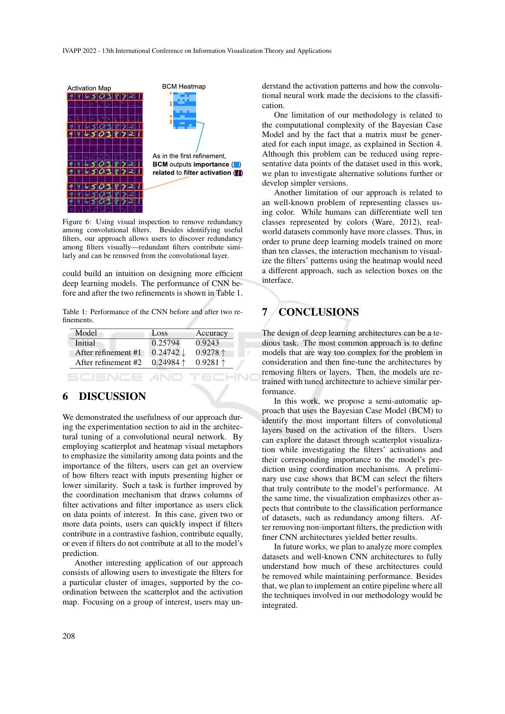

Figure 6: Using visual inspection to remove redundancy among convolutional filters. Besides identifying useful filters, our approach allows users to discover redundancy among filters visually—redundant filters contribute similarly and can be removed from the convolutional layer.

could build an intuition on designing more efficient deep learning models. The performance of CNN before and after the two refinements is shown in Table 1.

Table 1: Performance of the CNN before and after two refinements.

| Model               | Loss                 | Accuracy          |
|---------------------|----------------------|-------------------|
| Initial             | 0.25794              | 0.9243            |
| After refinement #1 | $0.24742 \downarrow$ | $0.9278 \uparrow$ |
| After refinement #2 | $0.24984$ 1          | $0.9281 \uparrow$ |
|                     |                      |                   |

HN

### 6 DISCUSSION

We demonstrated the usefulness of our approach during the experimentation section to aid in the architectural tuning of a convolutional neural network. By employing scatterplot and heatmap visual metaphors to emphasize the similarity among data points and the importance of the filters, users can get an overview of how filters react with inputs presenting higher or lower similarity. Such a task is further improved by the coordination mechanism that draws columns of filter activations and filter importance as users click on data points of interest. In this case, given two or more data points, users can quickly inspect if filters contribute in a contrastive fashion, contribute equally, or even if filters do not contribute at all to the model's prediction.

Another interesting application of our approach consists of allowing users to investigate the filters for a particular cluster of images, supported by the coordination between the scatterplot and the activation map. Focusing on a group of interest, users may understand the activation patterns and how the convolutional neural work made the decisions to the classification.

One limitation of our methodology is related to the computational complexity of the Bayesian Case Model and by the fact that a matrix must be generated for each input image, as explained in Section 4. Although this problem can be reduced using representative data points of the dataset used in this work, we plan to investigate alternative solutions further or develop simpler versions.

Another limitation of our approach is related to an well-known problem of representing classes using color. While humans can differentiate well ten classes represented by colors (Ware, 2012), realworld datasets commonly have more classes. Thus, in order to prune deep learning models trained on more than ten classes, the interaction mechanism to visualize the filters' patterns using the heatmap would need a different approach, such as selection boxes on the interface.

# 7 CONCLUSIONS

The design of deep learning architectures can be a tedious task. The most common approach is to define models that are way too complex for the problem in consideration and then fine-tune the architectures by removing filters or layers. Then, the models are retrained with tuned architecture to achieve similar performance.

In this work, we propose a semi-automatic approach that uses the Bayesian Case Model (BCM) to identify the most important filters of convolutional layers based on the activation of the filters. Users can explore the dataset through scatterplot visualization while investigating the filters' activations and their corresponding importance to the model's prediction using coordination mechanisms. A preliminary use case shows that BCM can select the filters that truly contribute to the model's performance. At the same time, the visualization emphasizes other aspects that contribute to the classification performance of datasets, such as redundancy among filters. After removing non-important filters, the prediction with finer CNN architectures yielded better results.

In future works, we plan to analyze more complex datasets and well-known CNN architectures to fully understand how much of these architectures could be removed while maintaining performance. Besides that, we plan to implement an entire pipeline where all the techniques involved in our methodology would be integrated.